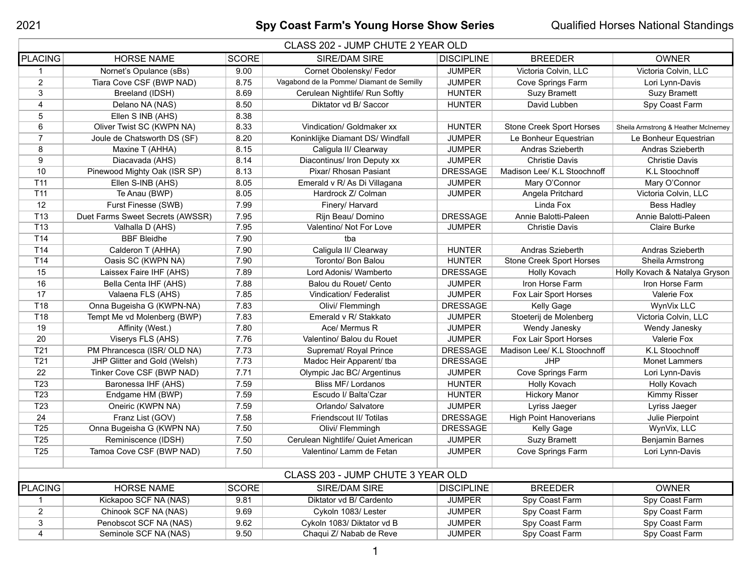## 2021 **Spy Coast Farm's Young Horse Show Series** Qualified Horses National Standings

| CLASS 202 - JUMP CHUTE 2 YEAR OLD |                                  |              |                                          |                   |                                 |                                      |
|-----------------------------------|----------------------------------|--------------|------------------------------------------|-------------------|---------------------------------|--------------------------------------|
| PLACING                           | <b>HORSE NAME</b>                | <b>SCORE</b> | <b>SIRE/DAM SIRE</b>                     | <b>DISCIPLINE</b> | <b>BREEDER</b>                  | <b>OWNER</b>                         |
|                                   | Nornet's Opulance (sBs)          | 9.00         | Cornet Obolensky/ Fedor                  | <b>JUMPER</b>     | Victoria Colvin, LLC            | Victoria Colvin, LLC                 |
| $\overline{2}$                    | Tiara Cove CSF (BWP NAD)         | 8.75         | Vagabond de la Pomme/ Diamant de Semilly | <b>JUMPER</b>     | Cove Springs Farm               | Lori Lynn-Davis                      |
| 3                                 | Breeland (IDSH)                  | 8.69         | Cerulean Nightlife/ Run Softly           | <b>HUNTER</b>     | <b>Suzy Bramett</b>             | <b>Suzy Bramett</b>                  |
| 4                                 | Delano NA (NAS)                  | 8.50         | Diktator vd B/ Saccor                    | <b>HUNTER</b>     | David Lubben                    | Spy Coast Farm                       |
| 5                                 | Ellen S INB (AHS)                | 8.38         |                                          |                   |                                 |                                      |
| 6                                 | Oliver Twist SC (KWPN NA)        | 8.33         | Vindication/ Goldmaker xx                | <b>HUNTER</b>     | <b>Stone Creek Sport Horses</b> | Sheila Armstrong & Heather McInerney |
| $\overline{7}$                    | Joule de Chatsworth DS (SF)      | 8.20         | Koninklijke Diamant DS/ Windfall         | <b>JUMPER</b>     | Le Bonheur Equestrian           | Le Bonheur Equestrian                |
| 8                                 | Maxine T (AHHA)                  | 8.15         | Caligula II/ Clearway                    | <b>JUMPER</b>     | Andras Szieberth                | Andras Szieberth                     |
| 9                                 | Diacavada (AHS)                  | 8.14         | Diacontinus/ Iron Deputy xx              | <b>JUMPER</b>     | <b>Christie Davis</b>           | <b>Christie Davis</b>                |
| 10                                | Pinewood Mighty Oak (ISR SP)     | 8.13         | Pixar/ Rhosan Pasiant                    | <b>DRESSAGE</b>   | Madison Lee/ K.L Stoochnoff     | K.L Stoochnoff                       |
| T <sub>11</sub>                   | Ellen S-INB (AHS)                | 8.05         | Emerald v R/ As Di Villagana             | <b>JUMPER</b>     | Mary O'Connor                   | Mary O'Connor                        |
| T <sub>11</sub>                   | Te Anau (BWP)                    | 8.05         | Hardrock Z/ Colman                       | <b>JUMPER</b>     | Angela Pritchard                | Victoria Colvin, LLC                 |
| 12                                | Furst Finesse (SWB)              | 7.99         | Finery/ Harvard                          |                   | Linda Fox                       | <b>Bess Hadley</b>                   |
| T <sub>13</sub>                   | Duet Farms Sweet Secrets (AWSSR) | 7.95         | Rijn Beau/ Domino                        | <b>DRESSAGE</b>   | Annie Balotti-Paleen            | Annie Balotti-Paleen                 |
| T <sub>13</sub>                   | Valhalla D (AHS)                 | 7.95         | Valentino/ Not For Love                  | <b>JUMPER</b>     | <b>Christie Davis</b>           | <b>Claire Burke</b>                  |
| T14                               | <b>BBF Bleidhe</b>               | 7.90         | tba                                      |                   |                                 |                                      |
| T14                               | Calderon T (AHHA)                | 7.90         | Caligula II/ Clearway                    | <b>HUNTER</b>     | Andras Szieberth                | Andras Szieberth                     |
| T14                               | Oasis SC (KWPN NA)               | 7.90         | Toronto/ Bon Balou                       | <b>HUNTER</b>     | Stone Creek Sport Horses        | Sheila Armstrong                     |
| 15                                | Laissex Faire IHF (AHS)          | 7.89         | Lord Adonis/ Wamberto                    | <b>DRESSAGE</b>   | Holly Kovach                    | Holly Kovach & Natalya Gryson        |
| 16                                | Bella Centa IHF (AHS)            | 7.88         | Balou du Rouet/ Cento                    | <b>JUMPER</b>     | Iron Horse Farm                 | Iron Horse Farm                      |
| 17                                | Valaena FLS (AHS)                | 7.85         | <b>Vindication/Federalist</b>            | <b>JUMPER</b>     | Fox Lair Sport Horses           | Valerie Fox                          |
| T18                               | Onna Bugeisha G (KWPN-NA)        | 7.83         | Olivi/ Flemmingh                         | <b>DRESSAGE</b>   | Kelly Gage                      | WynVix LLC                           |
| T18                               | Tempt Me vd Molenberg (BWP)      | 7.83         | Emerald v R/ Stakkato                    | <b>JUMPER</b>     | Stoeterij de Molenberg          | Victoria Colvin, LLC                 |
| 19                                | Affinity (West.)                 | 7.80         | Ace/ Mermus R                            | <b>JUMPER</b>     | Wendy Janesky                   | Wendy Janesky                        |
| 20                                | Viserys FLS (AHS)                | 7.76         | Valentino/ Balou du Rouet                | <b>JUMPER</b>     | Fox Lair Sport Horses           | Valerie Fox                          |
| T <sub>21</sub>                   | PM Phrancesca (ISR/ OLD NA)      | 7.73         | Supremat/ Royal Prince                   | <b>DRESSAGE</b>   | Madison Lee/ K.L Stoochnoff     | K.L Stoochnoff                       |
| T <sub>21</sub>                   | JHP Glitter and Gold (Welsh)     | 7.73         | Madoc Heir Apparent/ tba                 | <b>DRESSAGE</b>   | <b>JHP</b>                      | <b>Monet Lammers</b>                 |
| 22                                | Tinker Cove CSF (BWP NAD)        | 7.71         | Olympic Jac BC/ Argentinus               | <b>JUMPER</b>     | Cove Springs Farm               | Lori Lynn-Davis                      |
| T <sub>23</sub>                   | Baronessa IHF (AHS)              | 7.59         | <b>Bliss MF/ Lordanos</b>                | <b>HUNTER</b>     | Holly Kovach                    | Holly Kovach                         |
| T <sub>23</sub>                   | Endgame HM (BWP)                 | 7.59         | Escudo I/ Balta'Czar                     | <b>HUNTER</b>     | <b>Hickory Manor</b>            | <b>Kimmy Risser</b>                  |
| T23                               | Oneiric (KWPN NA)                | 7.59         | Orlando/ Salvatore                       | <b>JUMPER</b>     | Lyriss Jaeger                   | Lyriss Jaeger                        |
| 24                                | Franz List (GOV)                 | 7.58         | Friendscout II/ Totilas                  | <b>DRESSAGE</b>   | <b>High Point Hanoverians</b>   | Julie Pierpoint                      |
| T <sub>25</sub>                   | Onna Bugeisha G (KWPN NA)        | 7.50         | Olivi/ Flemmingh                         | <b>DRESSAGE</b>   | Kelly Gage                      | WynVix, LLC                          |
| T <sub>25</sub>                   | Reminiscence (IDSH)              | 7.50         | Cerulean Nightlife/ Quiet American       | <b>JUMPER</b>     | <b>Suzy Bramett</b>             | <b>Benjamin Barnes</b>               |
| T <sub>25</sub>                   | Tamoa Cove CSF (BWP NAD)         | 7.50         | Valentino/ Lamm de Fetan                 | <b>JUMPER</b>     | Cove Springs Farm               | Lori Lynn-Davis                      |
|                                   |                                  |              |                                          |                   |                                 |                                      |
| CLASS 203 - JUMP CHUTE 3 YEAR OLD |                                  |              |                                          |                   |                                 |                                      |
| PLACING                           | <b>HORSE NAME</b>                | <b>SCORE</b> | <b>SIRE/DAM SIRE</b>                     | <b>DISCIPLINE</b> | <b>BREEDER</b>                  | <b>OWNER</b>                         |
| 1                                 | Kickapoo SCF NA (NAS)            | 9.81         | Diktator vd B/ Cardento                  | <b>JUMPER</b>     | Spy Coast Farm                  | Spy Coast Farm                       |
| $\overline{2}$                    | Chinook SCF NA (NAS)             | 9.69         | Cykoln 1083/ Lester                      | <b>JUMPER</b>     | Spy Coast Farm                  | Spy Coast Farm                       |
| 3                                 | Penobscot SCF NA (NAS)           | 9.62         | Cykoln 1083/ Diktator vd B               | <b>JUMPER</b>     | Spy Coast Farm                  | Spy Coast Farm                       |
| 4                                 | Seminole SCF NA (NAS)            | 9.50         | Chaqui Z/ Nabab de Reve                  | <b>JUMPER</b>     | Spy Coast Farm                  | Spy Coast Farm                       |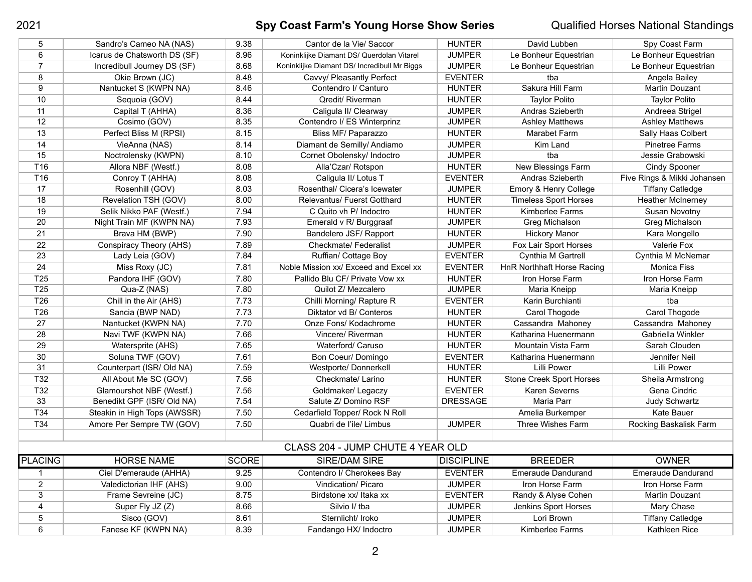# **Spy Coast Farm's Young Horse Show Series** Qualified Horses National Standings

| 5                                 | Sandro's Cameo NA (NAS)      | 9.38         | Cantor de la Vie/ Saccor                     | <b>HUNTER</b>     | David Lubben                    | Spy Coast Farm              |  |
|-----------------------------------|------------------------------|--------------|----------------------------------------------|-------------------|---------------------------------|-----------------------------|--|
| 6                                 | Icarus de Chatsworth DS (SF) | 8.96         | Koninklijke Diamant DS/ Querdolan Vitarel    | <b>JUMPER</b>     | Le Bonheur Equestrian           | Le Bonheur Equestrian       |  |
| $\overline{7}$                    | Incredibull Journey DS (SF)  | 8.68         | Koninklijke Diamant DS/ Incredibull Mr Biggs | <b>JUMPER</b>     | Le Bonheur Equestrian           | Le Bonheur Equestrian       |  |
| 8                                 | Okie Brown (JC)              | 8.48         | Cavvy/ Pleasantly Perfect                    | <b>EVENTER</b>    | tba                             | Angela Bailey               |  |
| 9                                 | Nantucket S (KWPN NA)        | 8.46         | Contendro I/ Canturo                         | <b>HUNTER</b>     | Sakura Hill Farm                | Martin Douzant              |  |
| 10                                | Sequoia (GOV)                | 8.44         | Qredit/ Riverman                             | <b>HUNTER</b>     | <b>Taylor Polito</b>            | <b>Taylor Polito</b>        |  |
| 11                                | Capital T (AHHA)             | 8.36         | Caligula II/ Clearway                        | <b>JUMPER</b>     | Andras Szieberth                | Andreea Strigel             |  |
| 12                                | Cosimo (GOV)                 | 8.35         | Contendro I/ ES Winterprinz                  | <b>JUMPER</b>     | <b>Ashley Matthews</b>          | <b>Ashley Matthews</b>      |  |
| 13                                | Perfect Bliss M (RPSI)       | 8.15         | Bliss MF/ Paparazzo                          | <b>HUNTER</b>     | Marabet Farm                    | Sally Haas Colbert          |  |
| 14                                | VieAnna (NAS)                | 8.14         | Diamant de Semilly/ Andiamo                  | <b>JUMPER</b>     | Kim Land                        | <b>Pinetree Farms</b>       |  |
| 15                                | Noctrolensky (KWPN)          | 8.10         | Cornet Obolensky/ Indoctro                   | <b>JUMPER</b>     | tba                             | Jessie Grabowski            |  |
| T <sub>16</sub>                   | Allora NBF (Westf.)          | 8.08         | Alla'Czar/ Rotspon                           | <b>HUNTER</b>     | New Blessings Farm              | <b>Cindy Spooner</b>        |  |
| T <sub>16</sub>                   | Conroy T (AHHA)              | 8.08         | Caligula II/ Lotus T                         | <b>EVENTER</b>    | Andras Szieberth                | Five Rings & Mikki Johansen |  |
| 17                                | Rosenhill (GOV)              | 8.03         | Rosenthal/ Cicera's Icewater                 | <b>JUMPER</b>     | Emory & Henry College           | <b>Tiffany Catledge</b>     |  |
| 18                                | Revelation TSH (GOV)         | 8.00         | Relevantus/ Fuerst Gotthard                  | <b>HUNTER</b>     | <b>Timeless Sport Horses</b>    | <b>Heather McInerney</b>    |  |
| 19                                | Selik Nikko PAF (Westf.)     | 7.94         | C Quito vh P/ Indoctro                       | <b>HUNTER</b>     | Kimberlee Farms                 | Susan Novotny               |  |
| 20                                | Night Train MF (KWPN NA)     | 7.93         | Emerald v R/ Burggraaf                       | <b>JUMPER</b>     | Greg Michalson                  | Greg Michalson              |  |
| 21                                | Brava HM (BWP)               | 7.90         | Bandelero JSF/ Rapport                       | <b>HUNTER</b>     | <b>Hickory Manor</b>            | Kara Mongello               |  |
| 22                                | Conspiracy Theory (AHS)      | 7.89         | <b>Checkmate/ Federalist</b>                 | <b>JUMPER</b>     | Fox Lair Sport Horses           | Valerie Fox                 |  |
| 23                                | Lady Leia (GOV)              | 7.84         | Ruffian/ Cottage Boy                         | <b>EVENTER</b>    | Cynthia M Gartrell              | Cynthia M McNemar           |  |
| 24                                | Miss Roxy (JC)               | 7.81         | Noble Mission xx/ Exceed and Excel xx        | <b>EVENTER</b>    | HnR Northhaft Horse Racing      | <b>Monica Fiss</b>          |  |
| T <sub>25</sub>                   | Pandora IHF (GOV)            | 7.80         | Pallido Blu CF/ Private Vow xx               | <b>HUNTER</b>     | Iron Horse Farm                 | Iron Horse Farm             |  |
| T <sub>25</sub>                   | Qua-Z (NAS)                  | 7.80         | Quilot Z/ Mezcalero                          | <b>JUMPER</b>     | Maria Kneipp                    | Maria Kneipp                |  |
| T26                               | Chill in the Air (AHS)       | 7.73         | Chilli Morning/ Rapture R                    | <b>EVENTER</b>    | Karin Burchianti                | tba                         |  |
| T <sub>26</sub>                   | Sancia (BWP NAD)             | 7.73         | Diktator vd B/ Conteros                      | <b>HUNTER</b>     | Carol Thogode                   | Carol Thogode               |  |
| 27                                | Nantucket (KWPN NA)          | 7.70         | Onze Fons/ Kodachrome                        | <b>HUNTER</b>     | Cassandra Mahoney               | Cassandra Mahoney           |  |
| 28                                | Navi TWF (KWPN NA)           | 7.66         | Vincere/ Riverman                            | <b>HUNTER</b>     | Katharina Huenermann            | Gabriella Winkler           |  |
| 29                                | Watersprite (AHS)            | 7.65         | Waterford/ Caruso                            | <b>HUNTER</b>     | Mountain Vista Farm             | Sarah Clouden               |  |
| 30                                | Soluna TWF (GOV)             | 7.61         | Bon Coeur/ Domingo                           | <b>EVENTER</b>    | Katharina Huenermann            | Jennifer Neil               |  |
| 31                                | Counterpart (ISR/ Old NA)    | 7.59         | Westporte/ Donnerkell                        | <b>HUNTER</b>     | <b>Lilli Power</b>              | Lilli Power                 |  |
| T <sub>32</sub>                   | All About Me SC (GOV)        | 7.56         | Checkmate/ Larino                            | <b>HUNTER</b>     | <b>Stone Creek Sport Horses</b> | Sheila Armstrong            |  |
| T32                               | Glamourshot NBF (Westf.)     | 7.56         | Goldmaker/ Legaczy                           | <b>EVENTER</b>    | Karen Severns                   | Gena Cindric                |  |
| 33                                | Benedikt GPF (ISR/ Old NA)   | 7.54         | Salute Z/ Domino RSF                         | <b>DRESSAGE</b>   | Maria Parr                      | <b>Judy Schwartz</b>        |  |
| T <sub>34</sub>                   | Steakin in High Tops (AWSSR) | 7.50         | Cedarfield Topper/ Rock N Roll               |                   | Amelia Burkemper                | Kate Bauer                  |  |
| T34                               | Amore Per Sempre TW (GOV)    | 7.50         | Quabri de l'ile/ Limbus                      | <b>JUMPER</b>     | Three Wishes Farm               | Rocking Baskalisk Farm      |  |
|                                   |                              |              |                                              |                   |                                 |                             |  |
| CLASS 204 - JUMP CHUTE 4 YEAR OLD |                              |              |                                              |                   |                                 |                             |  |
| <b>PLACING</b>                    | <b>HORSE NAME</b>            | <b>SCORE</b> | SIRE/DAM SIRE                                | <b>DISCIPLINE</b> | <b>BREEDER</b>                  | <b>OWNER</b>                |  |
| $\mathbf{1}$                      | Ciel D'emeraude (AHHA)       | 9.25         | Contendro I/ Cherokees Bay                   | <b>EVENTER</b>    | <b>Emeraude Dandurand</b>       | <b>Emeraude Dandurand</b>   |  |
| $\overline{2}$                    | Valedictorian IHF (AHS)      | 9.00         | Vindication/ Picaro                          | <b>JUMPER</b>     | Iron Horse Farm                 | Iron Horse Farm             |  |
| 3                                 | Frame Sevreine (JC)          | 8.75         | Birdstone xx/ Itaka xx                       | <b>EVENTER</b>    | Randy & Alyse Cohen             | Martin Douzant              |  |
| 4                                 | Super Fly JZ (Z)             | 8.66         | Silvio I/ tba                                | <b>JUMPER</b>     | Jenkins Sport Horses            | Mary Chase                  |  |
| 5                                 | Sisco (GOV)                  | 8.61         | Sternlicht/ Iroko                            | <b>JUMPER</b>     | Lori Brown                      | <b>Tiffany Catledge</b>     |  |
| 6                                 | Fanese KF (KWPN NA)          | 8.39         | Fandango HX/ Indoctro                        | <b>JUMPER</b>     | Kimberlee Farms                 | Kathleen Rice               |  |